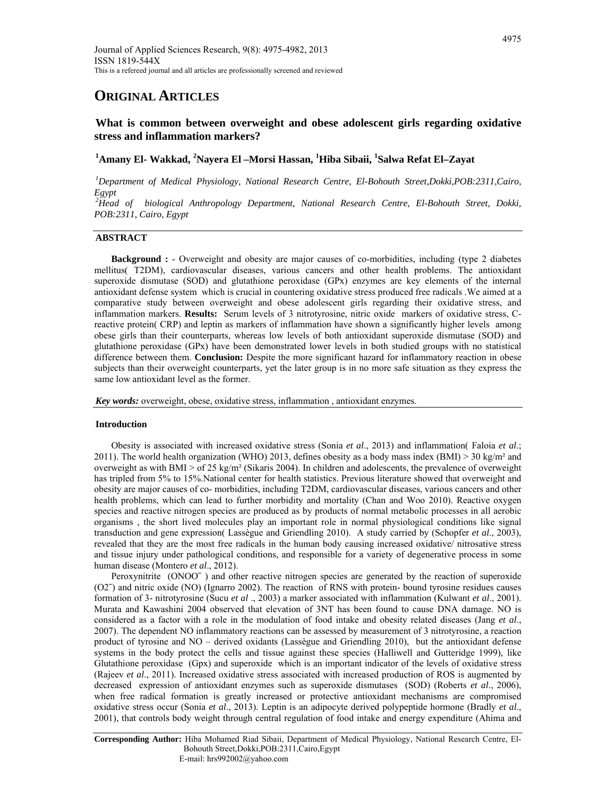# **ORIGINAL ARTICLES**

# **What is common between overweight and obese adolescent girls regarding oxidative stress and inflammation markers?**

# **1 Amany El- Wakkad, <sup>2</sup> Nayera El –Morsi Hassan, 1 Hiba Sibaii, <sup>1</sup> Salwa Refat El–Zayat**

*1 Department of Medical Physiology, National Research Centre, El-Bohouth Street,Dokki,POB:2311,Cairo, Egypt* 

*2 Head of biological Anthropology Department, National Research Centre, El-Bohouth Street, Dokki, POB:2311, Cairo, Egypt* 

# **ABSTRACT**

**Background :** - Overweight and obesity are major causes of co-morbidities, including (type 2 diabetes mellitus( T2DM), cardiovascular diseases, various cancers and other health problems. The antioxidant superoxide dismutase (SOD) and glutathione peroxidase (GPx) enzymes are key elements of the internal antioxidant defense system which is crucial in countering oxidative stress produced free radicals .We aimed at a comparative study between overweight and obese adolescent girls regarding their oxidative stress, and inflammation markers. **Results:** Serum levels of 3 nitrotyrosine, nitric oxide markers of oxidative stress, Creactive protein( CRP) and leptin as markers of inflammation have shown a significantly higher levels among obese girls than their counterparts, whereas low levels of both antioxidant superoxide dismutase (SOD) and glutathione peroxidase (GPx) have been demonstrated lower levels in both studied groups with no statistical difference between them. **Conclusion:** Despite the more significant hazard for inflammatory reaction in obese subjects than their overweight counterparts, yet the later group is in no more safe situation as they express the same low antioxidant level as the former.

*Key words:* overweight, obese, oxidative stress, inflammation , antioxidant enzymes.

# **Introduction**

Obesity is associated with increased oxidative stress (Sonia *et al*., 2013) and inflammation( Faloia *et al*.; 2011). The world health organization (WHO) 2013, defines obesity as a body mass index (BMI)  $>$  30 kg/m<sup>2</sup> and overweight as with BMI  $>$  of 25 kg/m<sup>2</sup> (Sikaris 2004). In children and adolescents, the prevalence of overweight has tripled from 5% to 15%. National center for health statistics. Previous literature showed that overweight and obesity are major causes of co- morbidities, including T2DM, cardiovascular diseases, various cancers and other health problems, which can lead to further morbidity and mortality (Chan and Woo 2010). Reactive oxygen species and reactive nitrogen species are produced as by products of normal metabolic processes in all aerobic organisms , the short lived molecules play an important role in normal physiological conditions like signal transduction and gene expression( Lassègue and Griendling 2010). A study carried by (Schopfer *et al*., 2003), revealed that they are the most free radicals in the human body causing increased oxidative/ nitrosative stress and tissue injury under pathological conditions, and responsible for a variety of degenerative process in some human disease (Montero *et al*., 2012).

Peroxynitrite (ONOOˉ ) and other reactive nitrogen species are generated by the reaction of superoxide (O2ˉ) and nitric oxide (NO) (Ignarro 2002). The reaction of RNS with protein- bound tyrosine residues causes formation of 3- nitrotyrosine (Sucu *et al* ., 2003) a marker associated with inflammation (Kulwant *et al*., 2001). Murata and Kawashini 2004 observed that elevation of 3NT has been found to cause DNA damage. NO is considered as a factor with a role in the modulation of food intake and obesity related diseases (Jang *et al*., 2007). The dependent NO inflammatory reactions can be assessed by measurement of 3 nitrotyrosine, a reaction product of tyrosine and NO – derived oxidants (Lassègue and Griendling 2010), but the antioxidant defense systems in the body protect the cells and tissue against these species (Halliwell and Gutteridge 1999), like Glutathione peroxidase (Gpx) and superoxide which is an important indicator of the levels of oxidative stress (Rajeev *et al*., 2011). Increased oxidative stress associated with increased production of ROS is augmented by decreased expression of antioxidant enzymes such as superoxide dismutases (SOD) (Roberts *et al*., 2006), when free radical formation is greatly increased or protective antioxidant mechanisms are compromised oxidative stress occur (Sonia *et al*., 2013). Leptin is an adipocyte derived polypeptide hormone (Bradly *et al*., 2001), that controls body weight through central regulation of food intake and energy expenditure (Ahima and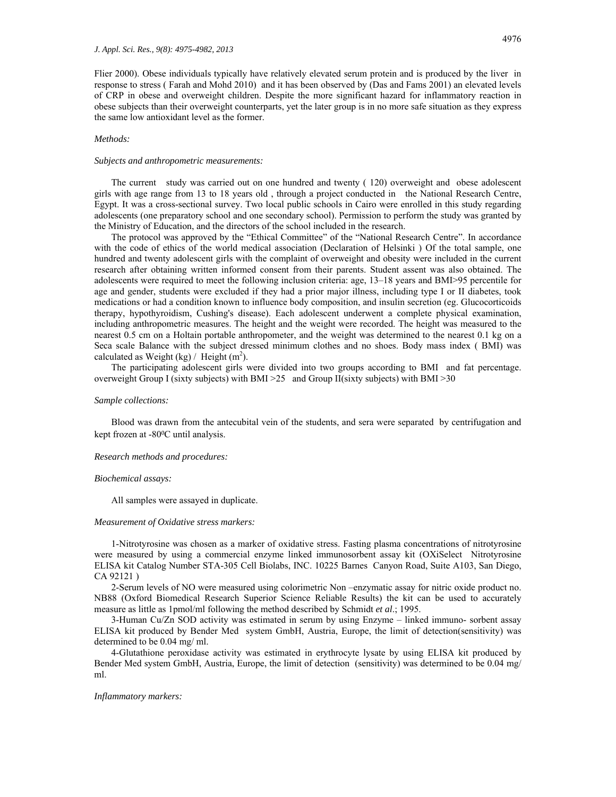Flier 2000). Obese individuals typically have relatively elevated serum protein and is produced by the liver in response to stress ( Farah and Mohd 2010) and it has been observed by (Das and Fams 2001) an elevated levels of CRP in obese and overweight children. Despite the more significant hazard for inflammatory reaction in obese subjects than their overweight counterparts, yet the later group is in no more safe situation as they express the same low antioxidant level as the former.

# *Methods:*

### *Subjects and anthropometric measurements:*

The current study was carried out on one hundred and twenty ( 120) overweight and obese adolescent girls with age range from 13 to 18 years old , through a project conducted in the National Research Centre, Egypt. It was a cross-sectional survey. Two local public schools in Cairo were enrolled in this study regarding adolescents (one preparatory school and one secondary school). Permission to perform the study was granted by the Ministry of Education, and the directors of the school included in the research.

The protocol was approved by the "Ethical Committee" of the "National Research Centre". In accordance with the code of ethics of the world medical association (Declaration of Helsinki ) Of the total sample, one hundred and twenty adolescent girls with the complaint of overweight and obesity were included in the current research after obtaining written informed consent from their parents. Student assent was also obtained. The adolescents were required to meet the following inclusion criteria: age, 13–18 years and BMI>95 percentile for age and gender, students were excluded if they had a prior major illness, including type I or II diabetes, took medications or had a condition known to influence body composition, and insulin secretion (eg. Glucocorticoids therapy, hypothyroidism, Cushing's disease). Each adolescent underwent a complete physical examination, including anthropometric measures. The height and the weight were recorded. The height was measured to the nearest 0.5 cm on a Holtain portable anthropometer, and the weight was determined to the nearest 0.1 kg on a Seca scale Balance with the subject dressed minimum clothes and no shoes. Body mass index ( BMI) was calculated as Weight (kg) / Height  $(m<sup>2</sup>)$ .

The participating adolescent girls were divided into two groups according to BMI and fat percentage. overweight Group I (sixty subjects) with BMI >25 and Group II(sixty subjects) with BMI >30

### *Sample collections:*

Blood was drawn from the antecubital vein of the students, and sera were separated by centrifugation and kept frozen at -80<sup>o</sup>C until analysis.

#### *Research methods and procedures:*

# *Biochemical assays:*

All samples were assayed in duplicate.

#### *Measurement of Oxidative stress markers:*

1-Nitrotyrosine was chosen as a marker of oxidative stress. Fasting plasma concentrations of nitrotyrosine were measured by using a commercial enzyme linked immunosorbent assay kit (OXiSelect Nitrotyrosine ELISA kit Catalog Number STA-305 Cell Biolabs, INC. 10225 Barnes Canyon Road, Suite A103, San Diego, CA 92121 )

2-Serum levels of NO were measured using colorimetric Non –enzymatic assay for nitric oxide product no. NB88 (Oxford Biomedical Research Superior Science Reliable Results) the kit can be used to accurately measure as little as 1pmol/ml following the method described by Schmidt *et al*.; 1995.

3-Human Cu/Zn SOD activity was estimated in serum by using Enzyme – linked immuno- sorbent assay ELISA kit produced by Bender Med system GmbH, Austria, Europe, the limit of detection(sensitivity) was determined to be 0.04 mg/ ml.

4-Glutathione peroxidase activity was estimated in erythrocyte lysate by using ELISA kit produced by Bender Med system GmbH, Austria, Europe, the limit of detection (sensitivity) was determined to be 0.04 mg/ ml.

# *Inflammatory markers:*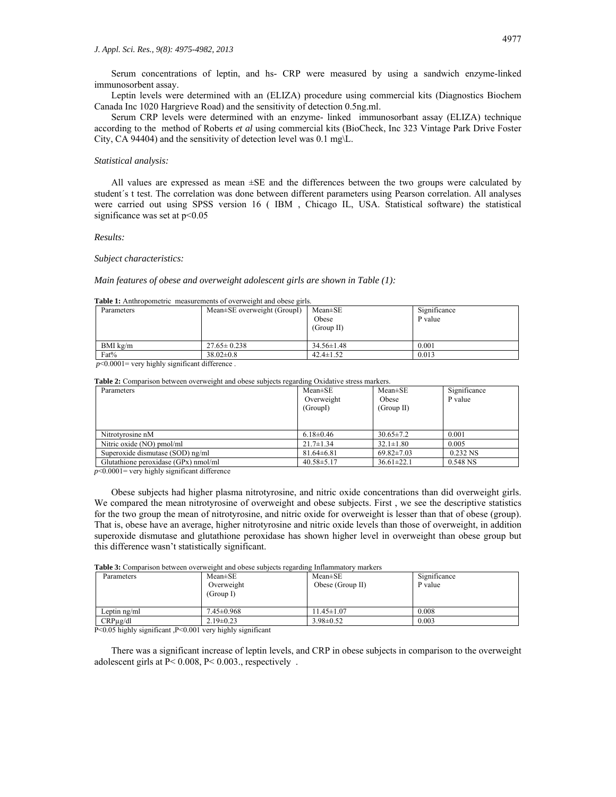Serum concentrations of leptin, and hs- CRP were measured by using a sandwich enzyme-linked immunosorbent assay.

Leptin levels were determined with an (ELIZA) procedure using commercial kits (Diagnostics Biochem Canada Inc 1020 Hargrieve Road) and the sensitivity of detection 0.5ng.ml.

Serum CRP levels were determined with an enzyme- linked immunosorbant assay (ELIZA) technique according to the method of Roberts *et al* using commercial kits (BioCheck, Inc 323 Vintage Park Drive Foster City, CA 94404) and the sensitivity of detection level was 0.1 mg\L.

# *Statistical analysis:*

All values are expressed as mean ±SE and the differences between the two groups were calculated by student´s t test. The correlation was done between different parameters using Pearson correlation. All analyses were carried out using SPSS version 16 ( IBM , Chicago IL, USA. Statistical software) the statistical significance was set at  $p<0.05$ 

# *Results:*

#### *Subject characteristics:*

### *Main features of obese and overweight adolescent girls are shown in Table (1):*

#### **Table 1:** Anthropometric measurements of overweight and obese girls.

| Parameters      | Mean±SE overweight (GroupI) | $Mean \pm SE$<br>Obese<br>(Group II) | Significance<br>P value |
|-----------------|-----------------------------|--------------------------------------|-------------------------|
| BMI $k\Omega/m$ | $27.65 \pm 0.238$           | $34.56 \pm 1.48$                     | 0.001                   |
| Fat%            | $38.02 \pm 0.8$             | $42.4 \pm 1.52$                      | 0.013                   |

 $p$ <0.0001= very highly significant difference.

# **Table 2:** Comparison between overweight and obese subjects regarding Oxidative stress markers.

| Parameters                           | $Mean \pm SE$    | $Mean \pm SE$    | Significance |
|--------------------------------------|------------------|------------------|--------------|
|                                      | Overweight       | Obese            | P value      |
|                                      | (GroupI)         | (Group II)       |              |
|                                      |                  |                  |              |
|                                      |                  |                  |              |
| Nitrotyrosine nM                     | $6.18 \pm 0.46$  | $30.65 \pm 7.2$  | 0.001        |
| Nitric oxide (NO) pmol/ml            | $21.7 \pm 1.34$  | $32.1 \pm 1.80$  | 0.005        |
| Superoxide dismutase (SOD) ng/ml     | $81.64 \pm 6.81$ | $69.82 \pm 7.03$ | 0.232 NS     |
| Glutathione peroxidase (GPx) nmol/ml | $40.58 \pm 5.17$ | $36.61 \pm 22.1$ | 0.548 NS     |

 $p$ <0.0001 = very highly significant difference

Obese subjects had higher plasma nitrotyrosine, and nitric oxide concentrations than did overweight girls. We compared the mean nitrotyrosine of overweight and obese subjects. First, we see the descriptive statistics for the two group the mean of nitrotyrosine, and nitric oxide for overweight is lesser than that of obese (group). That is, obese have an average, higher nitrotyrosine and nitric oxide levels than those of overweight, in addition superoxide dismutase and glutathione peroxidase has shown higher level in overweight than obese group but this difference wasn't statistically significant.

**Table 3:** Comparison between overweight and obese subjects regarding Inflammatory markers

| Parameters    | $Mean \pm SE$<br>Overweight<br>(Group I) | $Mean \pm SE$<br>Obese (Group II) | Significance<br>P value |
|---------------|------------------------------------------|-----------------------------------|-------------------------|
| Leptin ng/ml  | $7.45 \pm 0.968$                         | $1.45 \pm 1.07$                   | 0.008                   |
| $CRP\mu g/dl$ | $2.19 \pm 0.23$                          | $3.98 \pm 0.52$                   | 0.003                   |

P<0.05 highly significant ,P<0.001 very highly significant

There was a significant increase of leptin levels, and CRP in obese subjects in comparison to the overweight adolescent girls at P< 0.008, P< 0.003., respectively .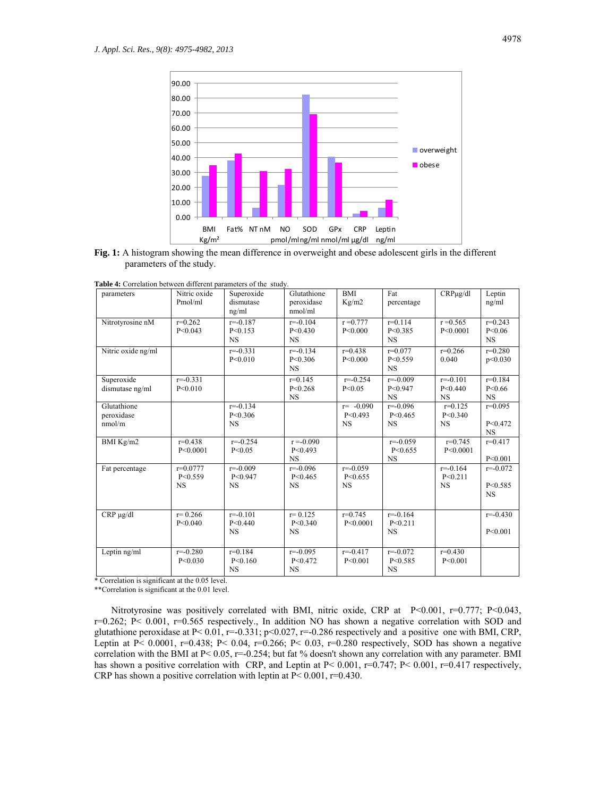

**Fig. 1:** A histogram showing the mean difference in overweight and obese adolescent girls in the different parameters of the study.

|  | Table 4: Correlation between different parameters of the study. |  |  |  |  |  |
|--|-----------------------------------------------------------------|--|--|--|--|--|
|--|-----------------------------------------------------------------|--|--|--|--|--|

| parameters                          | Nitric oxide<br>Pmol/ml                | Superoxide<br>dismutase<br>ng/ml       | Glutathione<br>peroxidase<br>nmol/ml   | <b>BMI</b><br>Kg/m2                    | Fat<br>percentage                      | $CRP\mu$ g/dl                          | Leptin<br>ng/ml                        |
|-------------------------------------|----------------------------------------|----------------------------------------|----------------------------------------|----------------------------------------|----------------------------------------|----------------------------------------|----------------------------------------|
| Nitrotyrosine nM                    | $r=0.262$<br>P < 0.043                 | $r = -0.187$<br>P < 0.153<br><b>NS</b> | $r = -0.104$<br>P < 0.430<br><b>NS</b> | $r = 0.777$<br>P<0.000                 | $r = 0.114$<br>P < 0.385<br><b>NS</b>  | $r = 0.565$<br>P < 0.0001              | $r=0.243$<br>P < 0.06<br><b>NS</b>     |
| Nitric oxide ng/ml                  |                                        | $r = -0.331$<br>P < 0.010              | $r = -0.134$<br>P < 0.306<br><b>NS</b> | $r=0.438$<br>P<0.000                   | $r=0.077$<br>P < 0.559<br><b>NS</b>    | $r=0.266$<br>0.040                     | $r=0.280$<br>p<0.030                   |
| Superoxide<br>dismutase ng/ml       | $r = -0.331$<br>P < 0.010              |                                        | $r=0.145$<br>P < 0.268<br><b>NS</b>    | $r = -0.254$<br>P < 0.05               | $r = -0.009$<br>P < 0.947<br><b>NS</b> | $r = -0.101$<br>P < 0.440<br><b>NS</b> | $r=0.184$<br>P < 0.66<br><b>NS</b>     |
| Glutathione<br>peroxidase<br>nmol/m |                                        | $r = -0.134$<br>P < 0.306<br><b>NS</b> |                                        | $r = -0.090$<br>P < 0.493<br><b>NS</b> | $r = -0.096$<br>P < 0.465<br><b>NS</b> | $r=0.125$<br>P < 0.340<br><b>NS</b>    | $r=0.095$<br>P < 0.472<br><b>NS</b>    |
| BMI Kg/m2                           | $r = 0.438$<br>P<0.0001                | $r = -0.254$<br>P < 0.05               | $r = -0.090$<br>P < 0.493<br><b>NS</b> |                                        | $r = -0.059$<br>P < 0.655<br><b>NS</b> | $r=0.745$<br>P < 0.0001                | $r=0.417$<br>P < 0.001                 |
| Fat percentage                      | $r = 0.0777$<br>P < 0.559<br><b>NS</b> | $r = -0.009$<br>P < 0.947<br><b>NS</b> | $r = -0.096$<br>P < 0.465<br><b>NS</b> | $r = -0.059$<br>P < 0.655<br><b>NS</b> |                                        | $r = -0.164$<br>P < 0.211<br><b>NS</b> | $r = -0.072$<br>P < 0.585<br><b>NS</b> |
| $CRP \mu g/dl$                      | $r = 0.266$<br>P < 0.040               | $r = -0.101$<br>P < 0.440<br><b>NS</b> | $r = 0.125$<br>P < 0.340<br><b>NS</b>  | $r=0.745$<br>P < 0.0001                | $r = -0.164$<br>P < 0.211<br><b>NS</b> |                                        | $r = -0.430$<br>P < 0.001              |
| Leptin ng/ml                        | $r = -0.280$<br>P < 0.030              | $r=0.184$<br>P < 0.160<br><b>NS</b>    | $r = -0.095$<br>P < 0.472<br><b>NS</b> | $r = -0.417$<br>P < 0.001              | $r = -0.072$<br>P < 0.585<br><b>NS</b> | $r=0.430$<br>P < 0.001                 |                                        |

\* Correlation is significant at the 0.05 level.

\*\*Correlation is significant at the 0.01 level.

Nitrotyrosine was positively correlated with BMI, nitric oxide, CRP at P<0.001, r=0.777; P<0.043, r=0.262; P< 0.001, r=0.565 respectively., In addition NO has shown a negative correlation with SOD and glutathione peroxidase at P< 0.01, r=-0.331; p<0.027, r=-0.286 respectively and a positive one with BMI, CRP, Leptin at P< 0.0001, r=0.438; P< 0.04, r=0.266; P< 0.03, r=0.280 respectively, SOD has shown a negative correlation with the BMI at P< 0.05, r=-0.254; but fat % doesn't shown any correlation with any parameter. BMI has shown a positive correlation with CRP, and Leptin at P< 0.001, r=0.747; P< 0.001, r=0.417 respectively, CRP has shown a positive correlation with leptin at  $P < 0.001$ , r=0.430.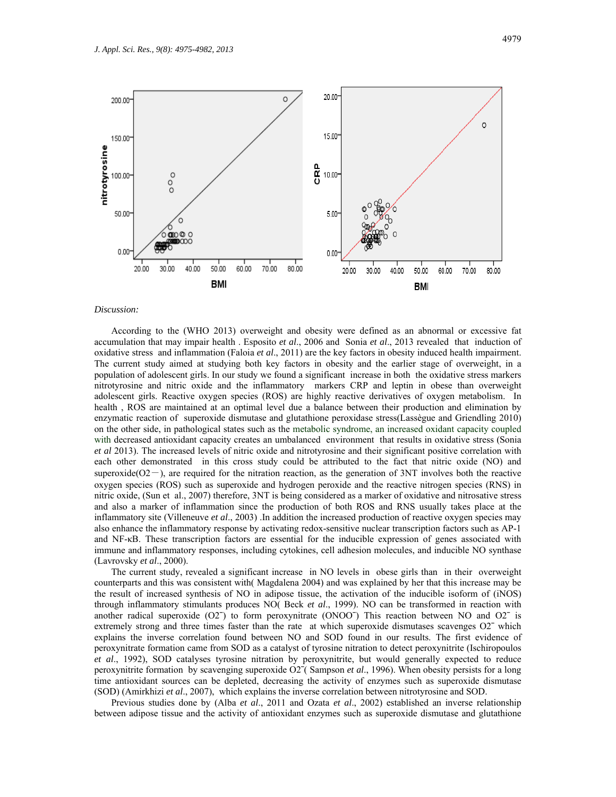

### *Discussion:*

According to the (WHO 2013) overweight and obesity were defined as an abnormal or excessive fat accumulation that may impair health . Esposito *et al*., 2006 and Sonia *et al*., 2013 revealed that induction of oxidative stress and inflammation (Faloia *et al*., 2011) are the key factors in obesity induced health impairment. The current study aimed at studying both key factors in obesity and the earlier stage of overweight, in a population of adolescent girls. In our study we found a significant increase in both the oxidative stress markers nitrotyrosine and nitric oxide and the inflammatory markers CRP and leptin in obese than overweight adolescent girls. Reactive oxygen species (ROS) are highly reactive derivatives of oxygen metabolism. In health , ROS are maintained at an optimal level due a balance between their production and elimination by enzymatic reaction of superoxide dismutase and glutathione peroxidase stress(Lassègue and Griendling 2010) on the other side, in pathological states such as the metabolic syndrome, an increased oxidant capacity coupled with decreased antioxidant capacity creates an umbalanced environment that results in oxidative stress (Sonia *et al* 2013). The increased levels of nitric oxide and nitrotyrosine and their significant positive correlation with each other demonstrated in this cross study could be attributed to the fact that nitric oxide (NO) and superoxide( $O2-$ ), are required for the nitration reaction, as the generation of 3NT involves both the reactive oxygen species (ROS) such as superoxide and hydrogen peroxide and the reactive nitrogen species (RNS) in nitric oxide, (Sun et al., 2007) therefore, 3NT is being considered as a marker of oxidative and nitrosative stress and also a marker of inflammation since the production of both ROS and RNS usually takes place at the inflammatory site (Villeneuve *et al*., 2003) .In addition the increased production of reactive oxygen species may also enhance the inflammatory response by activating redox-sensitive nuclear transcription factors such as AP-1 and NF-κB. These transcription factors are essential for the inducible expression of genes associated with immune and inflammatory responses, including cytokines, cell adhesion molecules, and inducible NO synthase (Lavrovsky *et al*., 2000).

The current study, revealed a significant increase in NO levels in obese girls than in their overweight counterparts and this was consistent with( Magdalena 2004) and was explained by her that this increase may be the result of increased synthesis of NO in adipose tissue, the activation of the inducible isoform of (iNOS) through inflammatory stimulants produces NO( Beck *et al*., 1999). NO can be transformed in reaction with another radical superoxide  $(O2<sup>-</sup>)$  to form peroxynitrate  $(ONOO<sup>-</sup>)$  This reaction between NO and  $O2<sup>-</sup>$  is extremely strong and three times faster than the rate at which superoxide dismutases scavenges O2<sup>-</sup> which explains the inverse correlation found between NO and SOD found in our results. The first evidence of peroxynitrate formation came from SOD as a catalyst of tyrosine nitration to detect peroxynitrite (Ischiropoulos *et al*., 1992), SOD catalyses tyrosine nitration by peroxynitrite, but would generally expected to reduce peroxynitrite formation by scavenging superoxide O2ˉ( Sampson *et al*., 1996). When obesity persists for a long time antioxidant sources can be depleted, decreasing the activity of enzymes such as superoxide dismutase (SOD) (Amirkhizi *et al*., 2007), which explains the inverse correlation between nitrotyrosine and SOD.

Previous studies done by (Alba *et al*., 2011 and Ozata *et al*., 2002) established an inverse relationship between adipose tissue and the activity of antioxidant enzymes such as superoxide dismutase and glutathione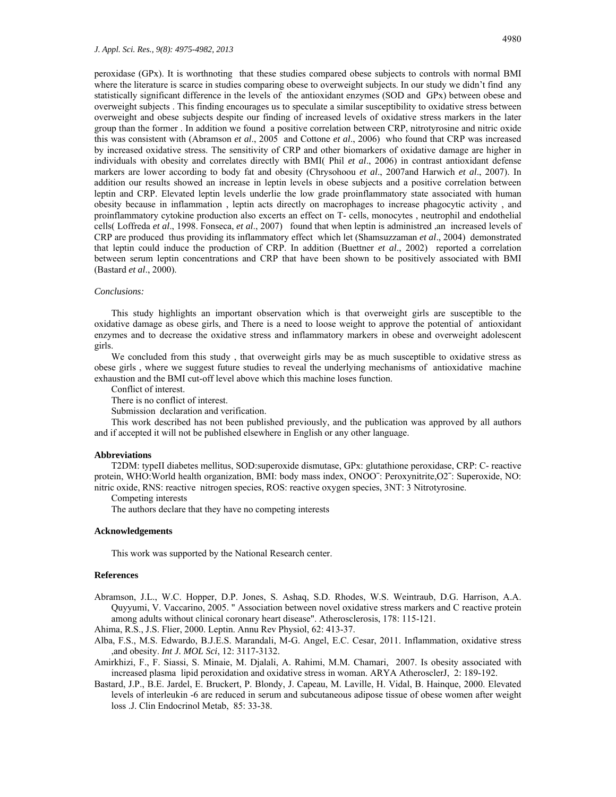peroxidase (GPx). It is worthnoting that these studies compared obese subjects to controls with normal BMI where the literature is scarce in studies comparing obese to overweight subjects. In our study we didn't find any statistically significant difference in the levels of the antioxidant enzymes (SOD and GPx) between obese and overweight subjects . This finding encourages us to speculate a similar susceptibility to oxidative stress between overweight and obese subjects despite our finding of increased levels of oxidative stress markers in the later group than the former . In addition we found a positive correlation between CRP, nitrotyrosine and nitric oxide this was consistent with (Abramson *et al*., 2005 and Cottone *et al*., 2006) who found that CRP was increased by increased oxidative stress. The sensitivity of CRP and other biomarkers of oxidative damage are higher in individuals with obesity and correlates directly with BMI( Phil *et al*., 2006) in contrast antioxidant defense markers are lower according to body fat and obesity (Chrysohoou *et al*., 2007and Harwich *et al*., 2007). In addition our results showed an increase in leptin levels in obese subjects and a positive correlation between leptin and CRP. Elevated leptin levels underlie the low grade proinflammatory state associated with human obesity because in inflammation , leptin acts directly on macrophages to increase phagocytic activity , and proinflammatory cytokine production also excerts an effect on T- cells, monocytes , neutrophil and endothelial cells( Loffreda *et al*., 1998. Fonseca, *et al*., 2007) found that when leptin is administred ,an increased levels of CRP are produced thus providing its inflammatory effect which let (Shamsuzzaman *et al*., 2004) demonstrated that leptin could induce the production of CRP. In addition (Buettner *et al*., 2002) reported a correlation between serum leptin concentrations and CRP that have been shown to be positively associated with BMI (Bastard *et al*., 2000).

## *Conclusions:*

This study highlights an important observation which is that overweight girls are susceptible to the oxidative damage as obese girls, and There is a need to loose weight to approve the potential of antioxidant enzymes and to decrease the oxidative stress and inflammatory markers in obese and overweight adolescent girls.

We concluded from this study , that overweight girls may be as much susceptible to oxidative stress as obese girls , where we suggest future studies to reveal the underlying mechanisms of antioxidative machine exhaustion and the BMI cut-off level above which this machine loses function.

Conflict of interest.

There is no conflict of interest.

Submission declaration and verification.

This work described has not been published previously, and the publication was approved by all authors and if accepted it will not be published elsewhere in English or any other language.

# **Abbreviations**

T2DM: typeII diabetes mellitus, SOD:superoxide dismutase, GPx: glutathione peroxidase, CRP: C- reactive protein, WHO:World health organization, BMI: body mass index, ONOOˉ: Peroxynitrite,O2ˉ: Superoxide, NO: nitric oxide, RNS: reactive nitrogen species, ROS: reactive oxygen species, 3NT: 3 Nitrotyrosine.

Competing interests

The authors declare that they have no competing interests

# **Acknowledgements**

This work was supported by the National Research center.

# **References**

Abramson, J.L., W.C. Hopper, D.P. Jones, S. Ashaq, S.D. Rhodes, W.S. Weintraub, D.G. Harrison, A.A. Quyyumi, V. Vaccarino, 2005. " Association between novel oxidative stress markers and C reactive protein among adults without clinical coronary heart disease". Atherosclerosis, 178: 115-121.

Ahima, R.S., J.S. Flier, 2000. Leptin. Annu Rev Physiol, 62: 413-37.

- Alba, F.S., M.S. Edwardo, B.J.E.S. Marandali, M-G. Angel, E.C. Cesar, 2011. Inflammation, oxidative stress ,and obesity. *Int J. MOL Sci*, 12: 3117-3132.
- Amirkhizi, F., F. Siassi, S. Minaie, M. Djalali, A. Rahimi, M.M. Chamari, 2007. Is obesity associated with increased plasma lipid peroxidation and oxidative stress in woman. ARYA AtherosclerJ, 2: 189-192.
- Bastard, J.P., B.E. Jardel, E. Bruckert, P. Blondy, J. Capeau, M. Laville, H. Vidal, B. Hainque, 2000. Elevated levels of interleukin -6 are reduced in serum and subcutaneous adipose tissue of obese women after weight loss .J. Clin Endocrinol Metab, 85: 33-38.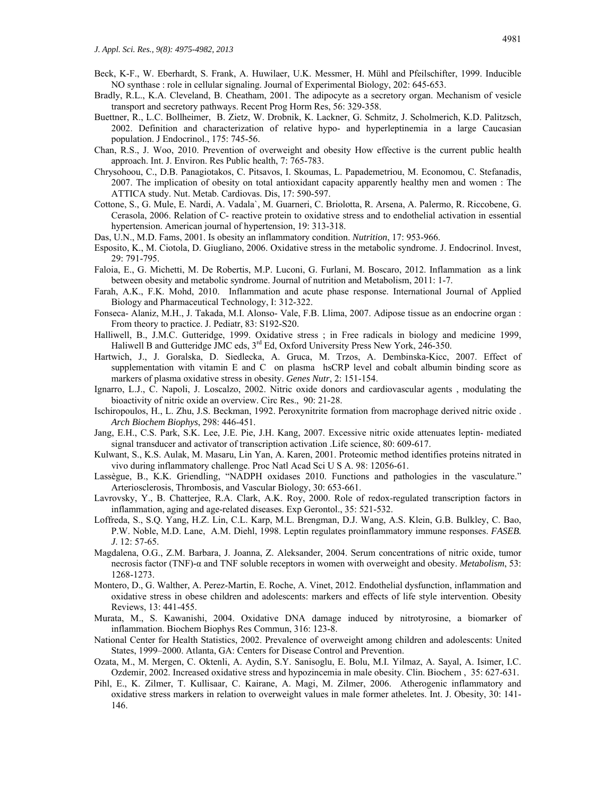- Beck, K-F., W. Eberhardt, S. Frank, A. Huwilaer, U.K. Messmer, H. Mühl and Pfeilschifter, 1999. Inducible NO synthase : role in cellular signaling. Journal of Experimental Biology, 202: 645-653.
- Bradly, R.L., K.A. Cleveland, B. Cheatham, 2001. The adipocyte as a secretory organ. Mechanism of vesicle transport and secretory pathways. Recent Prog Horm Res, 56: 329-358.
- Buettner, R., L.C. Bollheimer, B. Zietz, W. Drobnik, K. Lackner, G. Schmitz, J. Scholmerich, K.D. Palitzsch, 2002. Definition and characterization of relative hypo- and hyperleptinemia in a large Caucasian population. J Endocrinol., 175: 745-56.
- Chan, R.S., J. Woo, 2010. Prevention of overweight and obesity How effective is the current public health approach. Int. J. Environ. Res Public health, 7: 765-783.
- Chrysohoou, C., D.B. Panagiotakos, C. Pitsavos, I. Skoumas, L. Papademetriou, M. Economou, C. Stefanadis, 2007. The implication of obesity on total antioxidant capacity apparently healthy men and women : The ATTICA study. Nut. Metab. Cardiovas. Dis, 17: 590-597.
- Cottone, S., G. Mule, E. Nardi, A. Vadalaˋ, M. Guarneri, C. Briolotta, R. Arsena, A. Palermo, R. Riccobene, G. Cerasola, 2006. Relation of C- reactive protein to oxidative stress and to endothelial activation in essential hypertension. American journal of hypertension, 19: 313-318.
- Das, U.N., M.D. Fams, 2001. Is obesity an inflammatory condition. *Nutrition*, 17: 953-966.
- Esposito, K., M. Ciotola, D. Giugliano, 2006. Oxidative stress in the metabolic syndrome. J. Endocrinol. Invest, 29: 791-795.
- Faloia, E., G. Michetti, M. De Robertis, M.P. Luconi, G. Furlani, M. Boscaro, 2012. Inflammation as a link between obesity and metabolic syndrome. Journal of nutrition and Metabolism, 2011: 1-7.
- Farah, A.K., F.K. Mohd, 2010. Inflammation and acute phase response. International Journal of Applied Biology and Pharmaceutical Technology, I: 312-322.
- Fonseca- Alaniz, M.H., J. Takada, M.I. Alonso- Vale, F.B. Llima, 2007. Adipose tissue as an endocrine organ : From theory to practice. J. Pediatr, 83: S192-S20.
- Halliwell, B., J.M.C. Gutteridge, 1999. Oxidative stress ; in Free radicals in biology and medicine 1999, Haliwell B and Gutteridge JMC eds, 3<sup>rd</sup> Ed, Oxford University Press New York, 246-350.
- Hartwich, J., J. Goralska, D. Siedlecka, A. Gruca, M. Trzos, A. Dembinska-Kicc, 2007. Effect of supplementation with vitamin E and C on plasma hsCRP level and cobalt albumin binding score as markers of plasma oxidative stress in obesity. *Genes Nutr*, 2: 151-154.
- Ignarro, L.J., C. Napoli, J. Loscalzo, 2002. Nitric oxide donors and cardiovascular agents , modulating the bioactivity of nitric oxide an overview. Circ Res., 90: 21-28.
- Ischiropoulos, H., L. Zhu, J.S. Beckman, 1992. Peroxynitrite formation from macrophage derived nitric oxide . *Arch Biochem Biophys*, 298: 446-451.
- Jang, E.H., C.S. Park, S.K. Lee, J.E. Pie, J.H. Kang, 2007. Excessive nitric oxide attenuates leptin- mediated signal transducer and activator of transcription activation .Life science, 80: 609-617.
- Kulwant, S., K.S. Aulak, M. Masaru, Lin Yan, A. Karen, 2001. Proteomic method identifies proteins nitrated in vivo during inflammatory challenge. Proc Natl Acad Sci U S A. 98: 12056-61.
- Lassègue, B., K.K. Griendling, "NADPH oxidases 2010. Functions and pathologies in the vasculature." Arteriosclerosis, Thrombosis, and Vascular Biology, 30: 653-661.
- Lavrovsky, Y., B. Chatterjee, R.A. Clark, A.K. Roy, 2000. Role of redox-regulated transcription factors in inflammation, aging and age-related diseases. Exp Gerontol., 35: 521-532.
- Loffreda, S., S.Q. Yang, H.Z. Lin, C.L. Karp, M.L. Brengman, D.J. Wang, A.S. Klein, G.B. Bulkley, C. Bao, P.W. Noble, M.D. Lane, A.M. Diehl, 1998. Leptin regulates proinflammatory immune responses. *FASEB. J*. 12: 57-65.
- Magdalena, O.G., Z.M. Barbara, J. Joanna, Z. Aleksander, 2004. Serum concentrations of nitric oxide, tumor necrosis factor (TNF)-α and TNF soluble receptors in women with overweight and obesity. *Metabolism*, 53: 1268-1273.
- Montero, D., G. Walther, A. Perez-Martin, E. Roche, A. Vinet, 2012. Endothelial dysfunction, inflammation and oxidative stress in obese children and adolescents: markers and effects of life style intervention. Obesity Reviews, 13: 441-455.
- Murata, M., S. Kawanishi, 2004. Oxidative DNA damage induced by nitrotyrosine, a biomarker of inflammation. Biochem Biophys Res Commun, 316: 123-8.
- National Center for Health Statistics, 2002. Prevalence of overweight among children and adolescents: United States, 1999–2000. Atlanta, GA: Centers for Disease Control and Prevention.
- Ozata, M., M. Mergen, C. Oktenli, A. Aydin, S.Y. Sanisoglu, E. Bolu, M.I. Yilmaz, A. Sayal, A. Isimer, I.C. Ozdemir, 2002. Increased oxidative stress and hypozincemia in male obesity. Clin. Biochem , 35: 627-631.
- Pihl, E., K. Zilmer, T. Kullisaar, C. Kairane, A. Magi, M. Zilmer, 2006. Atherogenic inflammatory and oxidative stress markers in relation to overweight values in male former atheletes. Int. J. Obesity, 30: 141- 146.